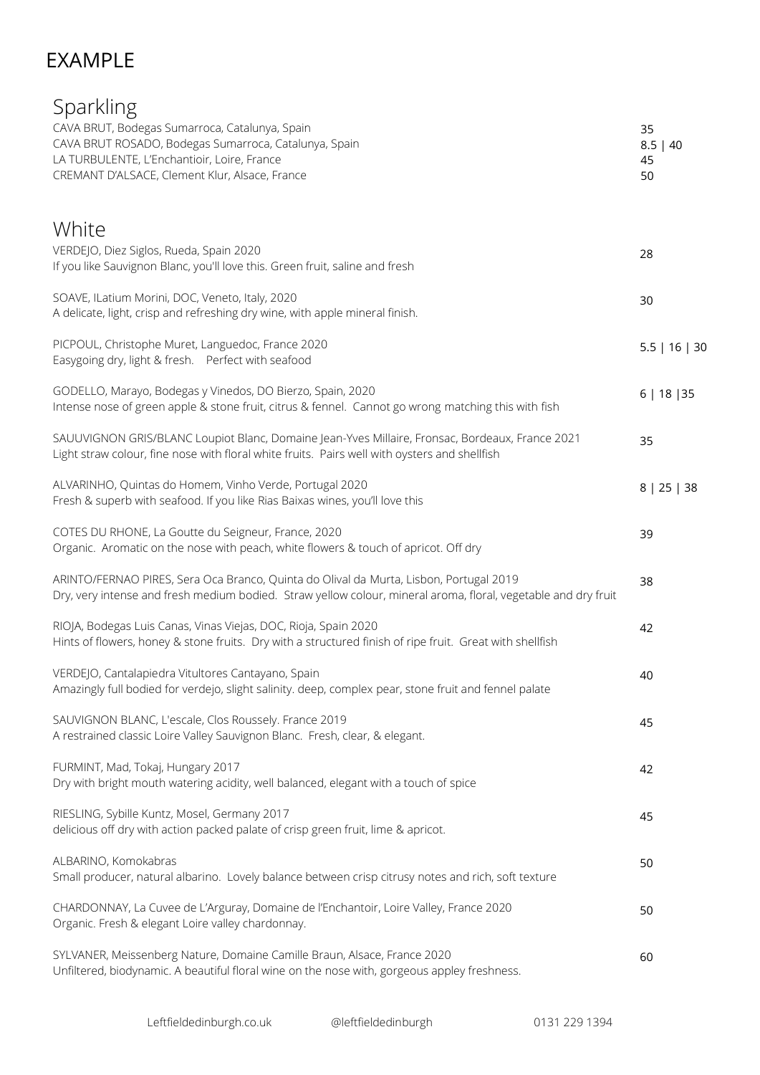## EXAMPLE

| Sparkling                                                                                                                                                                                                |                  |
|----------------------------------------------------------------------------------------------------------------------------------------------------------------------------------------------------------|------------------|
| CAVA BRUT, Bodegas Sumarroca, Catalunya, Spain<br>CAVA BRUT ROSADO, Bodegas Sumarroca, Catalunya, Spain                                                                                                  | 35<br>$8.5$   40 |
| LA TURBULENTE, L'Enchantioir, Loire, France<br>CREMANT D'ALSACE, Clement Klur, Alsace, France                                                                                                            | 45<br>50         |
| White                                                                                                                                                                                                    |                  |
| VERDEJO, Diez Siglos, Rueda, Spain 2020<br>If you like Sauvignon Blanc, you'll love this. Green fruit, saline and fresh                                                                                  | 28               |
| SOAVE, ILatium Morini, DOC, Veneto, Italy, 2020<br>A delicate, light, crisp and refreshing dry wine, with apple mineral finish.                                                                          | 30               |
| PICPOUL, Christophe Muret, Languedoc, France 2020<br>Easygoing dry, light & fresh. Perfect with seafood                                                                                                  | $5.5$   16   30  |
| GODELLO, Marayo, Bodegas y Vinedos, DO Bierzo, Spain, 2020<br>Intense nose of green apple & stone fruit, citrus & fennel. Cannot go wrong matching this with fish                                        | 6   18   35      |
| SAUUVIGNON GRIS/BLANC Loupiot Blanc, Domaine Jean-Yves Millaire, Fronsac, Bordeaux, France 2021<br>Light straw colour, fine nose with floral white fruits. Pairs well with oysters and shellfish         | 35               |
| ALVARINHO, Quintas do Homem, Vinho Verde, Portugal 2020<br>Fresh & superb with seafood. If you like Rias Baixas wines, you'll love this                                                                  | 8   25   38      |
| COTES DU RHONE, La Goutte du Seigneur, France, 2020<br>Organic. Aromatic on the nose with peach, white flowers & touch of apricot. Off dry                                                               | 39               |
| ARINTO/FERNAO PIRES, Sera Oca Branco, Quinta do Olival da Murta, Lisbon, Portugal 2019<br>Dry, very intense and fresh medium bodied. Straw yellow colour, mineral aroma, floral, vegetable and dry fruit | 38               |
| RIOJA, Bodegas Luis Canas, Vinas Viejas, DOC, Rioja, Spain 2020<br>Hints of flowers, honey & stone fruits. Dry with a structured finish of ripe fruit. Great with shellfish                              | 42               |
| VERDEJO, Cantalapiedra Vitultores Cantayano, Spain<br>Amazingly full bodied for verdejo, slight salinity. deep, complex pear, stone fruit and fennel palate                                              | 40               |
| SAUVIGNON BLANC, L'escale, Clos Roussely. France 2019<br>A restrained classic Loire Valley Sauvignon Blanc. Fresh, clear, & elegant.                                                                     | 45               |
| FURMINT, Mad, Tokaj, Hungary 2017<br>Dry with bright mouth watering acidity, well balanced, elegant with a touch of spice                                                                                | 42               |
| RIESLING, Sybille Kuntz, Mosel, Germany 2017<br>delicious off dry with action packed palate of crisp green fruit, lime & apricot.                                                                        | 45               |
| ALBARINO, Komokabras<br>Small producer, natural albarino. Lovely balance between crisp citrusy notes and rich, soft texture                                                                              | 50               |
| CHARDONNAY, La Cuvee de L'Arguray, Domaine de l'Enchantoir, Loire Valley, France 2020<br>Organic. Fresh & elegant Loire valley chardonnay.                                                               | 50               |
| SYLVANER, Meissenberg Nature, Domaine Camille Braun, Alsace, France 2020<br>Unfiltered, biodynamic. A beautiful floral wine on the nose with, gorgeous appley freshness.                                 | 60               |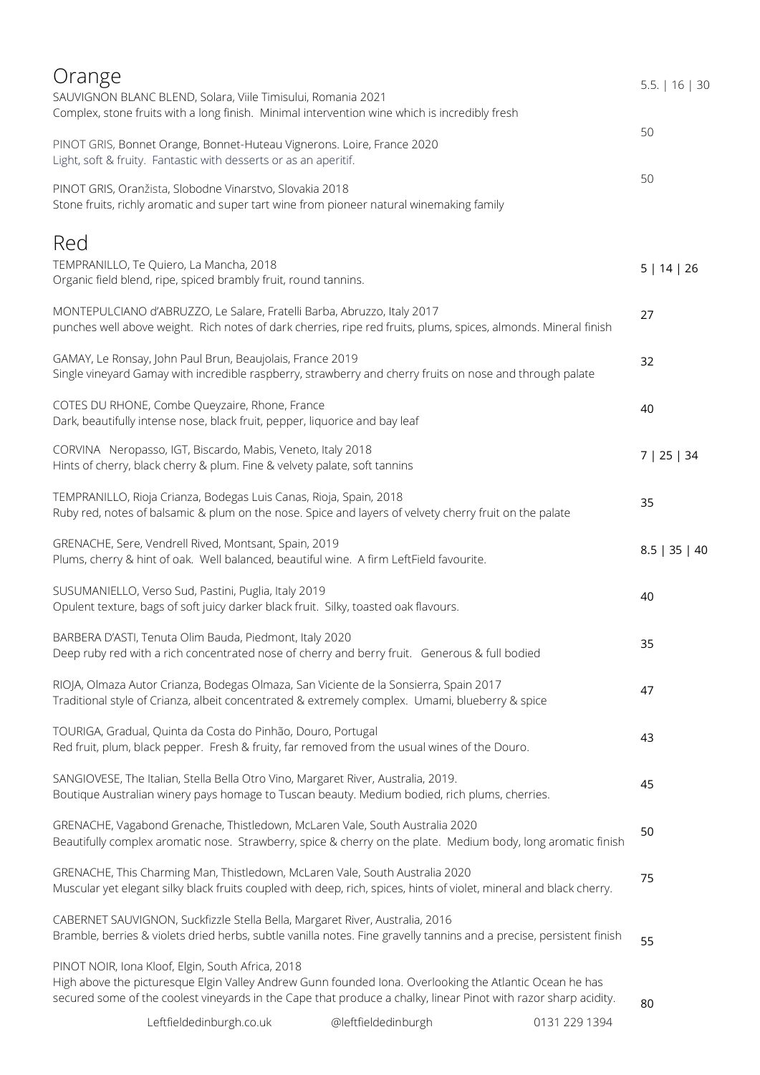| Orange<br>SAUVIGNON BLANC BLEND, Solara, Viile Timisului, Romania 2021<br>Complex, stone fruits with a long finish. Minimal intervention wine which is incredibly fresh                                                                                                         |                     |               | $5.5.$   16   30 |
|---------------------------------------------------------------------------------------------------------------------------------------------------------------------------------------------------------------------------------------------------------------------------------|---------------------|---------------|------------------|
| PINOT GRIS, Bonnet Orange, Bonnet-Huteau Vignerons. Loire, France 2020<br>Light, soft & fruity. Fantastic with desserts or as an aperitif.                                                                                                                                      |                     |               | 50               |
| PINOT GRIS, Oranžista, Slobodne Vinarstvo, Slovakia 2018<br>Stone fruits, richly aromatic and super tart wine from pioneer natural winemaking family                                                                                                                            |                     |               | 50               |
| Red<br>TEMPRANILLO, Te Quiero, La Mancha, 2018<br>Organic field blend, ripe, spiced brambly fruit, round tannins.                                                                                                                                                               |                     |               | 5   14   26      |
| MONTEPULCIANO d'ABRUZZO, Le Salare, Fratelli Barba, Abruzzo, Italy 2017<br>punches well above weight. Rich notes of dark cherries, ripe red fruits, plums, spices, almonds. Mineral finish                                                                                      |                     |               | 27               |
| GAMAY, Le Ronsay, John Paul Brun, Beaujolais, France 2019<br>Single vineyard Gamay with incredible raspberry, strawberry and cherry fruits on nose and through palate                                                                                                           |                     |               | 32               |
| COTES DU RHONE, Combe Queyzaire, Rhone, France<br>Dark, beautifully intense nose, black fruit, pepper, liquorice and bay leaf                                                                                                                                                   |                     |               | 40               |
| CORVINA Neropasso, IGT, Biscardo, Mabis, Veneto, Italy 2018<br>Hints of cherry, black cherry & plum. Fine & velvety palate, soft tannins                                                                                                                                        |                     |               | 7   25   34      |
| TEMPRANILLO, Rioja Crianza, Bodegas Luis Canas, Rioja, Spain, 2018<br>Ruby red, notes of balsamic & plum on the nose. Spice and layers of velvety cherry fruit on the palate                                                                                                    |                     |               | 35               |
| GRENACHE, Sere, Vendrell Rived, Montsant, Spain, 2019<br>Plums, cherry & hint of oak. Well balanced, beautiful wine. A firm LeftField favourite.                                                                                                                                |                     |               | $8.5$   35   40  |
| SUSUMANIELLO, Verso Sud, Pastini, Puglia, Italy 2019<br>Opulent texture, bags of soft juicy darker black fruit. Silky, toasted oak flavours.                                                                                                                                    |                     |               | 40               |
| BARBERA D'ASTI, Tenuta Olim Bauda, Piedmont, Italy 2020<br>Deep ruby red with a rich concentrated nose of cherry and berry fruit. Generous & full bodied                                                                                                                        |                     |               | 35               |
| RIOJA, Olmaza Autor Crianza, Bodegas Olmaza, San Viciente de la Sonsierra, Spain 2017<br>Traditional style of Crianza, albeit concentrated & extremely complex. Umami, blueberry & spice                                                                                        |                     |               | 47               |
| TOURIGA, Gradual, Quinta da Costa do Pinhão, Douro, Portugal<br>Red fruit, plum, black pepper. Fresh & fruity, far removed from the usual wines of the Douro.                                                                                                                   |                     |               | 43               |
| SANGIOVESE, The Italian, Stella Bella Otro Vino, Margaret River, Australia, 2019.<br>Boutique Australian winery pays homage to Tuscan beauty. Medium bodied, rich plums, cherries.                                                                                              |                     |               | 45               |
| GRENACHE, Vagabond Grenache, Thistledown, McLaren Vale, South Australia 2020<br>Beautifully complex aromatic nose. Strawberry, spice & cherry on the plate. Medium body, long aromatic finish                                                                                   |                     |               | 50               |
| GRENACHE, This Charming Man, Thistledown, McLaren Vale, South Australia 2020<br>Muscular yet elegant silky black fruits coupled with deep, rich, spices, hints of violet, mineral and black cherry.                                                                             |                     |               | 75               |
| CABERNET SAUVIGNON, Suckfizzle Stella Bella, Margaret River, Australia, 2016<br>Bramble, berries & violets dried herbs, subtle vanilla notes. Fine gravelly tannins and a precise, persistent finish                                                                            |                     |               | 55               |
| PINOT NOIR, Iona Kloof, Elgin, South Africa, 2018<br>High above the picturesque Elgin Valley Andrew Gunn founded Iona. Overlooking the Atlantic Ocean he has<br>secured some of the coolest vineyards in the Cape that produce a chalky, linear Pinot with razor sharp acidity. |                     |               | 80               |
| Leftfieldedinburgh.co.uk                                                                                                                                                                                                                                                        | @leftfieldedinburgh | 0131 229 1394 |                  |